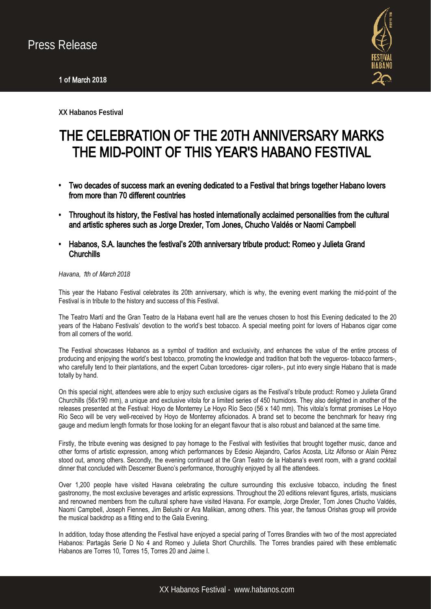

**XX Habanos Festival** 

# THE CELEBRATION OF THE 20TH ANNIVERSARY MARKS THE MID-POINT OF THIS YEAR'S HABANO FESTIVAL

- **•** Two decades of success mark an evening dedicated to a Festival that brings together Habano lovers from more than 70 different countries
- **•** Throughout its history, the Festival has hosted internationally acclaimed personalities from the cultural and artistic spheres such as Jorge Drexler, Tom Jones, Chucho Valdés or Naomi Campbell
- **•** Habanos, S.A. launches the festival's 20th anniversary tribute product: Romeo y Julieta Grand **Churchills**

### *Havana,* 1*th of* March *2018*

This year the Habano Festival celebrates its 20th anniversary, which is why, the evening event marking the mid-point of the Festival is in tribute to the history and success of this Festival.

The Teatro Martí and the Gran Teatro de la Habana event hall are the venues chosen to host this Evening dedicated to the 20 years of the Habano Festivals' devotion to the world's best tobacco. A special meeting point for lovers of Habanos cigar come from all corners of the world.

The Festival showcases Habanos as a symbol of tradition and exclusivity, and enhances the value of the entire process of producing and enjoying the world's best tobacco, promoting the knowledge and tradition that both the vegueros- tobacco farmers-, who carefully tend to their plantations, and the expert Cuban torcedores- cigar rollers-, put into every single Habano that is made totally by hand.

On this special night, attendees were able to enjoy such exclusive cigars as the Festival's tribute product: Romeo y Julieta Grand Churchills (56x190 mm), a unique and exclusive vitola for a limited series of 450 humidors. They also delighted in another of the releases presented at the Festival: Hoyo de Monterrey Le Hoyo Río Seco (56 x 140 mm). This vitola's format promises Le Hoyo Rio Seco will be very well-received by Hoyo de Monterrey aficionados. A brand set to become the benchmark for heavy ring gauge and medium length formats for those looking for an elegant flavour that is also robust and balanced at the same time.

Firstly, the tribute evening was designed to pay homage to the Festival with festivities that brought together music, dance and other forms of artistic expression, among which performances by Edesio Alejandro, Carlos Acosta, Litz Alfonso or Alain Pérez stood out, among others. Secondly, the evening continued at the Gran Teatro de la Habana's event room, with a grand cocktail dinner that concluded with Descemer Bueno's performance, thoroughly enjoyed by all the attendees.

Over 1,200 people have visited Havana celebrating the culture surrounding this exclusive tobacco, including the finest gastronomy, the most exclusive beverages and artistic expressions. Throughout the 20 editions relevant figures, artists, musicians and renowned members from the cultural sphere have visited Havana. For example, Jorge Drexler, Tom Jones Chucho Valdés, Naomi Campbell, Joseph Fiennes, Jim Belushi or Ara Malikian, among others. This year, the famous Orishas group will provide the musical backdrop as a fitting end to the Gala Evening.

In addition, today those attending the Festival have enjoyed a special paring of Torres Brandies with two of the most appreciated Habanos: Partagás Serie D No 4 and Romeo y Julieta Short Churchills. The Torres brandies paired with these emblematic Habanos are Torres 10, Torres 15, Torres 20 and Jaime I.